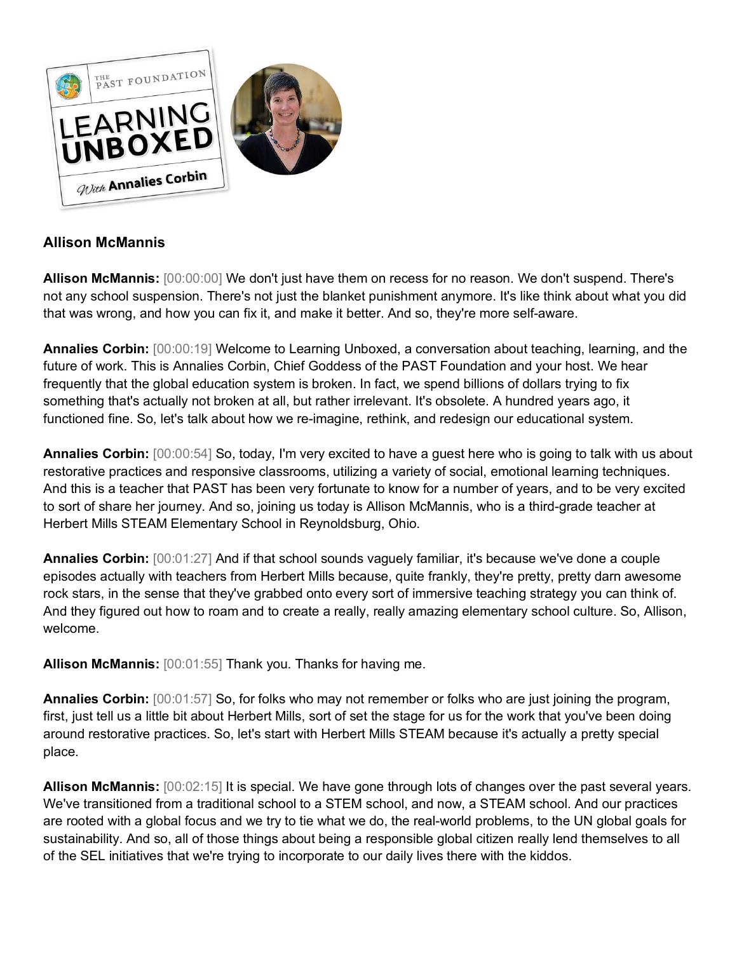

# **Allison McMannis**

**Allison McMannis:** [00:00:00] We don't just have them on recess for no reason. We don't suspend. There's not any school suspension. There's not just the blanket punishment anymore. It's like think about what you did that was wrong, and how you can fix it, and make it better. And so, they're more self-aware.

**Annalies Corbin:** [00:00:19] Welcome to Learning Unboxed, a conversation about teaching, learning, and the future of work. This is Annalies Corbin, Chief Goddess of the PAST Foundation and your host. We hear frequently that the global education system is broken. In fact, we spend billions of dollars trying to fix something that's actually not broken at all, but rather irrelevant. It's obsolete. A hundred years ago, it functioned fine. So, let's talk about how we re-imagine, rethink, and redesign our educational system.

**Annalies Corbin:** [00:00:54] So, today, I'm very excited to have a guest here who is going to talk with us about restorative practices and responsive classrooms, utilizing a variety of social, emotional learning techniques. And this is a teacher that PAST has been very fortunate to know for a number of years, and to be very excited to sort of share her journey. And so, joining us today is Allison McMannis, who is a third-grade teacher at Herbert Mills STEAM Elementary School in Reynoldsburg, Ohio.

**Annalies Corbin:** [00:01:27] And if that school sounds vaguely familiar, it's because we've done a couple episodes actually with teachers from Herbert Mills because, quite frankly, they're pretty, pretty darn awesome rock stars, in the sense that they've grabbed onto every sort of immersive teaching strategy you can think of. And they figured out how to roam and to create a really, really amazing elementary school culture. So, Allison, welcome.

**Allison McMannis:** [00:01:55] Thank you. Thanks for having me.

**Annalies Corbin:** [00:01:57] So, for folks who may not remember or folks who are just joining the program, first, just tell us a little bit about Herbert Mills, sort of set the stage for us for the work that you've been doing around restorative practices. So, let's start with Herbert Mills STEAM because it's actually a pretty special place.

**Allison McMannis:** [00:02:15] It is special. We have gone through lots of changes over the past several years. We've transitioned from a traditional school to a STEM school, and now, a STEAM school. And our practices are rooted with a global focus and we try to tie what we do, the real-world problems, to the UN global goals for sustainability. And so, all of those things about being a responsible global citizen really lend themselves to all of the SEL initiatives that we're trying to incorporate to our daily lives there with the kiddos.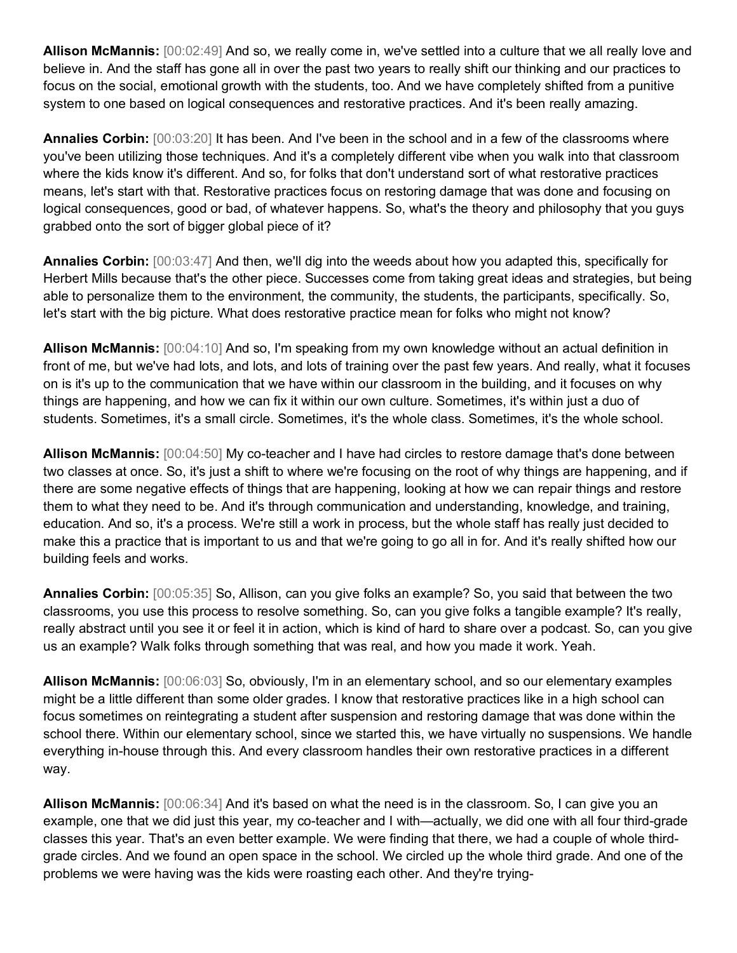**Allison McMannis:** [00:02:49] And so, we really come in, we've settled into a culture that we all really love and believe in. And the staff has gone all in over the past two years to really shift our thinking and our practices to focus on the social, emotional growth with the students, too. And we have completely shifted from a punitive system to one based on logical consequences and restorative practices. And it's been really amazing.

**Annalies Corbin:** [00:03:20] It has been. And I've been in the school and in a few of the classrooms where you've been utilizing those techniques. And it's a completely different vibe when you walk into that classroom where the kids know it's different. And so, for folks that don't understand sort of what restorative practices means, let's start with that. Restorative practices focus on restoring damage that was done and focusing on logical consequences, good or bad, of whatever happens. So, what's the theory and philosophy that you guys grabbed onto the sort of bigger global piece of it?

**Annalies Corbin:** [00:03:47] And then, we'll dig into the weeds about how you adapted this, specifically for Herbert Mills because that's the other piece. Successes come from taking great ideas and strategies, but being able to personalize them to the environment, the community, the students, the participants, specifically. So, let's start with the big picture. What does restorative practice mean for folks who might not know?

**Allison McMannis:** [00:04:10] And so, I'm speaking from my own knowledge without an actual definition in front of me, but we've had lots, and lots, and lots of training over the past few years. And really, what it focuses on is it's up to the communication that we have within our classroom in the building, and it focuses on why things are happening, and how we can fix it within our own culture. Sometimes, it's within just a duo of students. Sometimes, it's a small circle. Sometimes, it's the whole class. Sometimes, it's the whole school.

**Allison McMannis:** [00:04:50] My co-teacher and I have had circles to restore damage that's done between two classes at once. So, it's just a shift to where we're focusing on the root of why things are happening, and if there are some negative effects of things that are happening, looking at how we can repair things and restore them to what they need to be. And it's through communication and understanding, knowledge, and training, education. And so, it's a process. We're still a work in process, but the whole staff has really just decided to make this a practice that is important to us and that we're going to go all in for. And it's really shifted how our building feels and works.

**Annalies Corbin:** [00:05:35] So, Allison, can you give folks an example? So, you said that between the two classrooms, you use this process to resolve something. So, can you give folks a tangible example? It's really, really abstract until you see it or feel it in action, which is kind of hard to share over a podcast. So, can you give us an example? Walk folks through something that was real, and how you made it work. Yeah.

**Allison McMannis:** [00:06:03] So, obviously, I'm in an elementary school, and so our elementary examples might be a little different than some older grades. I know that restorative practices like in a high school can focus sometimes on reintegrating a student after suspension and restoring damage that was done within the school there. Within our elementary school, since we started this, we have virtually no suspensions. We handle everything in-house through this. And every classroom handles their own restorative practices in a different way.

**Allison McMannis:** [00:06:34] And it's based on what the need is in the classroom. So, I can give you an example, one that we did just this year, my co-teacher and I with—actually, we did one with all four third-grade classes this year. That's an even better example. We were finding that there, we had a couple of whole thirdgrade circles. And we found an open space in the school. We circled up the whole third grade. And one of the problems we were having was the kids were roasting each other. And they're trying-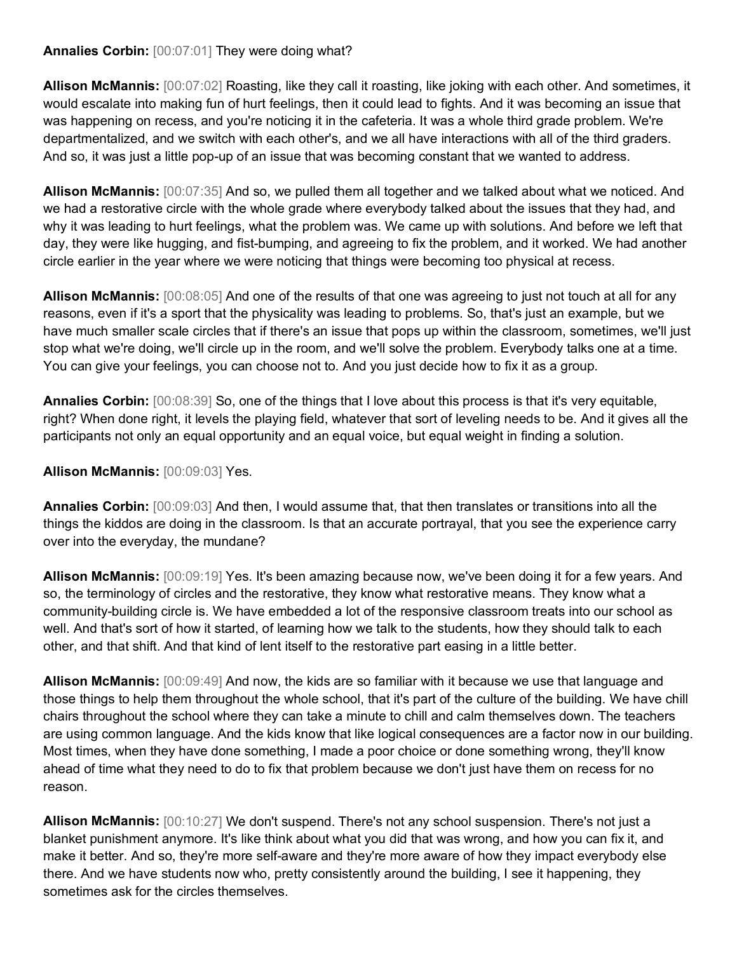#### **Annalies Corbin:** [00:07:01] They were doing what?

**Allison McMannis:** [00:07:02] Roasting, like they call it roasting, like joking with each other. And sometimes, it would escalate into making fun of hurt feelings, then it could lead to fights. And it was becoming an issue that was happening on recess, and you're noticing it in the cafeteria. It was a whole third grade problem. We're departmentalized, and we switch with each other's, and we all have interactions with all of the third graders. And so, it was just a little pop-up of an issue that was becoming constant that we wanted to address.

**Allison McMannis:** [00:07:35] And so, we pulled them all together and we talked about what we noticed. And we had a restorative circle with the whole grade where everybody talked about the issues that they had, and why it was leading to hurt feelings, what the problem was. We came up with solutions. And before we left that day, they were like hugging, and fist-bumping, and agreeing to fix the problem, and it worked. We had another circle earlier in the year where we were noticing that things were becoming too physical at recess.

**Allison McMannis:** [00:08:05] And one of the results of that one was agreeing to just not touch at all for any reasons, even if it's a sport that the physicality was leading to problems. So, that's just an example, but we have much smaller scale circles that if there's an issue that pops up within the classroom, sometimes, we'll just stop what we're doing, we'll circle up in the room, and we'll solve the problem. Everybody talks one at a time. You can give your feelings, you can choose not to. And you just decide how to fix it as a group.

**Annalies Corbin:** [00:08:39] So, one of the things that I love about this process is that it's very equitable, right? When done right, it levels the playing field, whatever that sort of leveling needs to be. And it gives all the participants not only an equal opportunity and an equal voice, but equal weight in finding a solution.

### **Allison McMannis:** [00:09:03] Yes.

**Annalies Corbin:** [00:09:03] And then, I would assume that, that then translates or transitions into all the things the kiddos are doing in the classroom. Is that an accurate portrayal, that you see the experience carry over into the everyday, the mundane?

**Allison McMannis:** [00:09:19] Yes. It's been amazing because now, we've been doing it for a few years. And so, the terminology of circles and the restorative, they know what restorative means. They know what a community-building circle is. We have embedded a lot of the responsive classroom treats into our school as well. And that's sort of how it started, of learning how we talk to the students, how they should talk to each other, and that shift. And that kind of lent itself to the restorative part easing in a little better.

**Allison McMannis:** [00:09:49] And now, the kids are so familiar with it because we use that language and those things to help them throughout the whole school, that it's part of the culture of the building. We have chill chairs throughout the school where they can take a minute to chill and calm themselves down. The teachers are using common language. And the kids know that like logical consequences are a factor now in our building. Most times, when they have done something, I made a poor choice or done something wrong, they'll know ahead of time what they need to do to fix that problem because we don't just have them on recess for no reason.

**Allison McMannis:** [00:10:27] We don't suspend. There's not any school suspension. There's not just a blanket punishment anymore. It's like think about what you did that was wrong, and how you can fix it, and make it better. And so, they're more self-aware and they're more aware of how they impact everybody else there. And we have students now who, pretty consistently around the building, I see it happening, they sometimes ask for the circles themselves.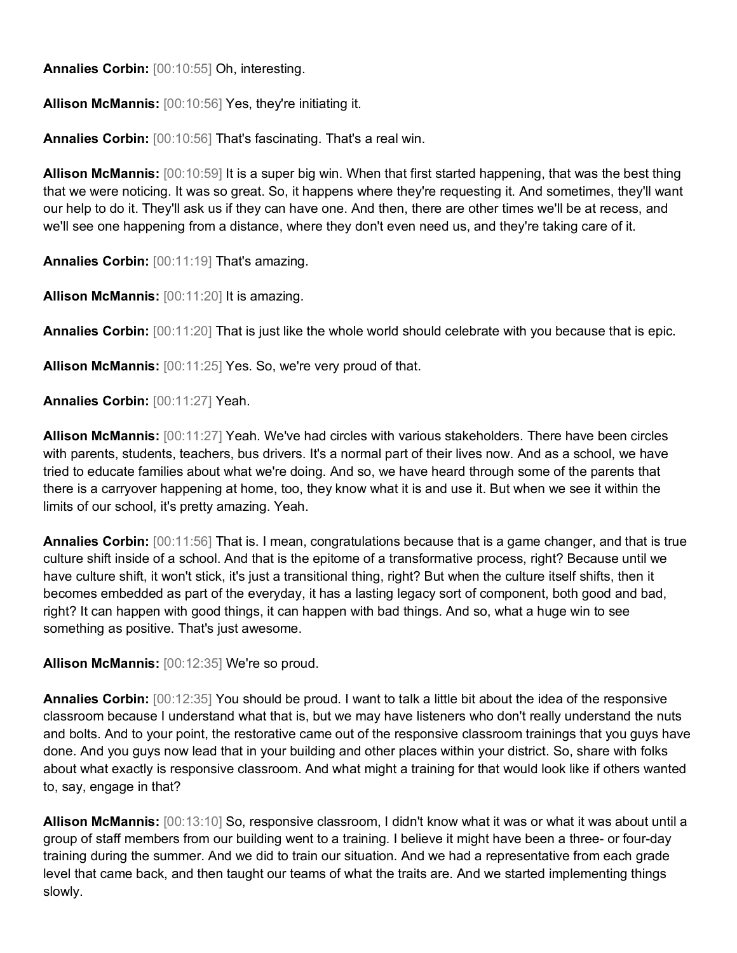**Annalies Corbin:** [00:10:55] Oh, interesting.

**Allison McMannis:** [00:10:56] Yes, they're initiating it.

**Annalies Corbin:** [00:10:56] That's fascinating. That's a real win.

**Allison McMannis:** [00:10:59] It is a super big win. When that first started happening, that was the best thing that we were noticing. It was so great. So, it happens where they're requesting it. And sometimes, they'll want our help to do it. They'll ask us if they can have one. And then, there are other times we'll be at recess, and we'll see one happening from a distance, where they don't even need us, and they're taking care of it.

**Annalies Corbin:** [00:11:19] That's amazing.

**Allison McMannis:** [00:11:20] It is amazing.

**Annalies Corbin:** [00:11:20] That is just like the whole world should celebrate with you because that is epic.

**Allison McMannis:** [00:11:25] Yes. So, we're very proud of that.

**Annalies Corbin:** [00:11:27] Yeah.

**Allison McMannis:** [00:11:27] Yeah. We've had circles with various stakeholders. There have been circles with parents, students, teachers, bus drivers. It's a normal part of their lives now. And as a school, we have tried to educate families about what we're doing. And so, we have heard through some of the parents that there is a carryover happening at home, too, they know what it is and use it. But when we see it within the limits of our school, it's pretty amazing. Yeah.

**Annalies Corbin:** [00:11:56] That is. I mean, congratulations because that is a game changer, and that is true culture shift inside of a school. And that is the epitome of a transformative process, right? Because until we have culture shift, it won't stick, it's just a transitional thing, right? But when the culture itself shifts, then it becomes embedded as part of the everyday, it has a lasting legacy sort of component, both good and bad, right? It can happen with good things, it can happen with bad things. And so, what a huge win to see something as positive. That's just awesome.

**Allison McMannis:** [00:12:35] We're so proud.

**Annalies Corbin:** [00:12:35] You should be proud. I want to talk a little bit about the idea of the responsive classroom because I understand what that is, but we may have listeners who don't really understand the nuts and bolts. And to your point, the restorative came out of the responsive classroom trainings that you guys have done. And you guys now lead that in your building and other places within your district. So, share with folks about what exactly is responsive classroom. And what might a training for that would look like if others wanted to, say, engage in that?

**Allison McMannis:** [00:13:10] So, responsive classroom, I didn't know what it was or what it was about until a group of staff members from our building went to a training. I believe it might have been a three- or four-day training during the summer. And we did to train our situation. And we had a representative from each grade level that came back, and then taught our teams of what the traits are. And we started implementing things slowly.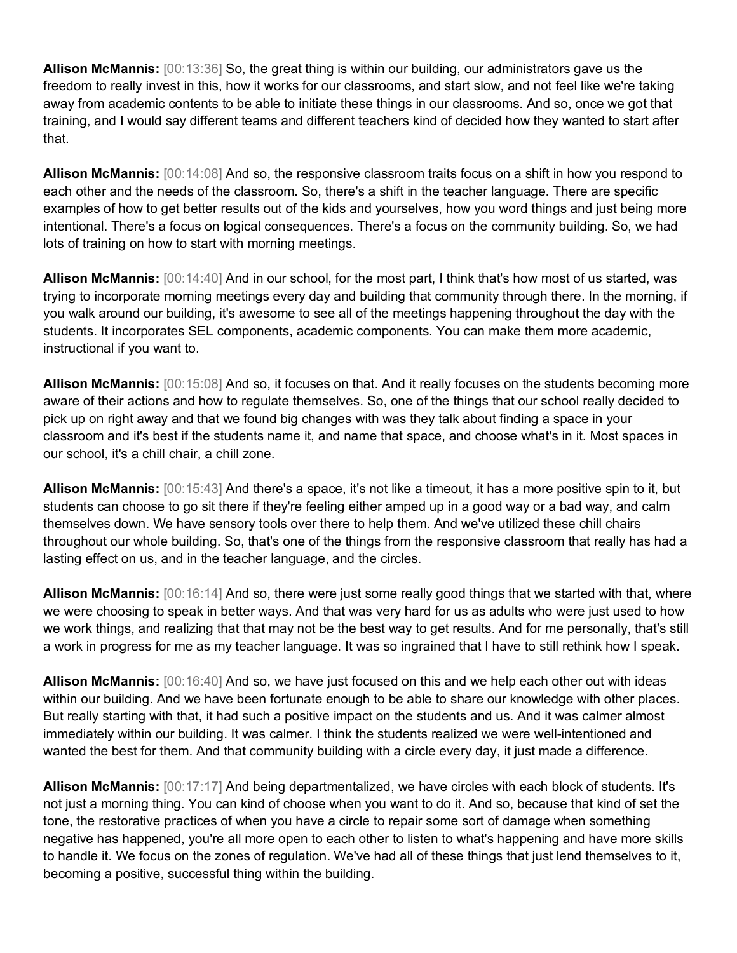**Allison McMannis:** [00:13:36] So, the great thing is within our building, our administrators gave us the freedom to really invest in this, how it works for our classrooms, and start slow, and not feel like we're taking away from academic contents to be able to initiate these things in our classrooms. And so, once we got that training, and I would say different teams and different teachers kind of decided how they wanted to start after that.

**Allison McMannis:** [00:14:08] And so, the responsive classroom traits focus on a shift in how you respond to each other and the needs of the classroom. So, there's a shift in the teacher language. There are specific examples of how to get better results out of the kids and yourselves, how you word things and just being more intentional. There's a focus on logical consequences. There's a focus on the community building. So, we had lots of training on how to start with morning meetings.

**Allison McMannis:** [00:14:40] And in our school, for the most part, I think that's how most of us started, was trying to incorporate morning meetings every day and building that community through there. In the morning, if you walk around our building, it's awesome to see all of the meetings happening throughout the day with the students. It incorporates SEL components, academic components. You can make them more academic, instructional if you want to.

**Allison McMannis:** [00:15:08] And so, it focuses on that. And it really focuses on the students becoming more aware of their actions and how to regulate themselves. So, one of the things that our school really decided to pick up on right away and that we found big changes with was they talk about finding a space in your classroom and it's best if the students name it, and name that space, and choose what's in it. Most spaces in our school, it's a chill chair, a chill zone.

**Allison McMannis:** [00:15:43] And there's a space, it's not like a timeout, it has a more positive spin to it, but students can choose to go sit there if they're feeling either amped up in a good way or a bad way, and calm themselves down. We have sensory tools over there to help them. And we've utilized these chill chairs throughout our whole building. So, that's one of the things from the responsive classroom that really has had a lasting effect on us, and in the teacher language, and the circles.

**Allison McMannis:** [00:16:14] And so, there were just some really good things that we started with that, where we were choosing to speak in better ways. And that was very hard for us as adults who were just used to how we work things, and realizing that that may not be the best way to get results. And for me personally, that's still a work in progress for me as my teacher language. It was so ingrained that I have to still rethink how I speak.

**Allison McMannis:** [00:16:40] And so, we have just focused on this and we help each other out with ideas within our building. And we have been fortunate enough to be able to share our knowledge with other places. But really starting with that, it had such a positive impact on the students and us. And it was calmer almost immediately within our building. It was calmer. I think the students realized we were well-intentioned and wanted the best for them. And that community building with a circle every day, it just made a difference.

**Allison McMannis:** [00:17:17] And being departmentalized, we have circles with each block of students. It's not just a morning thing. You can kind of choose when you want to do it. And so, because that kind of set the tone, the restorative practices of when you have a circle to repair some sort of damage when something negative has happened, you're all more open to each other to listen to what's happening and have more skills to handle it. We focus on the zones of regulation. We've had all of these things that just lend themselves to it, becoming a positive, successful thing within the building.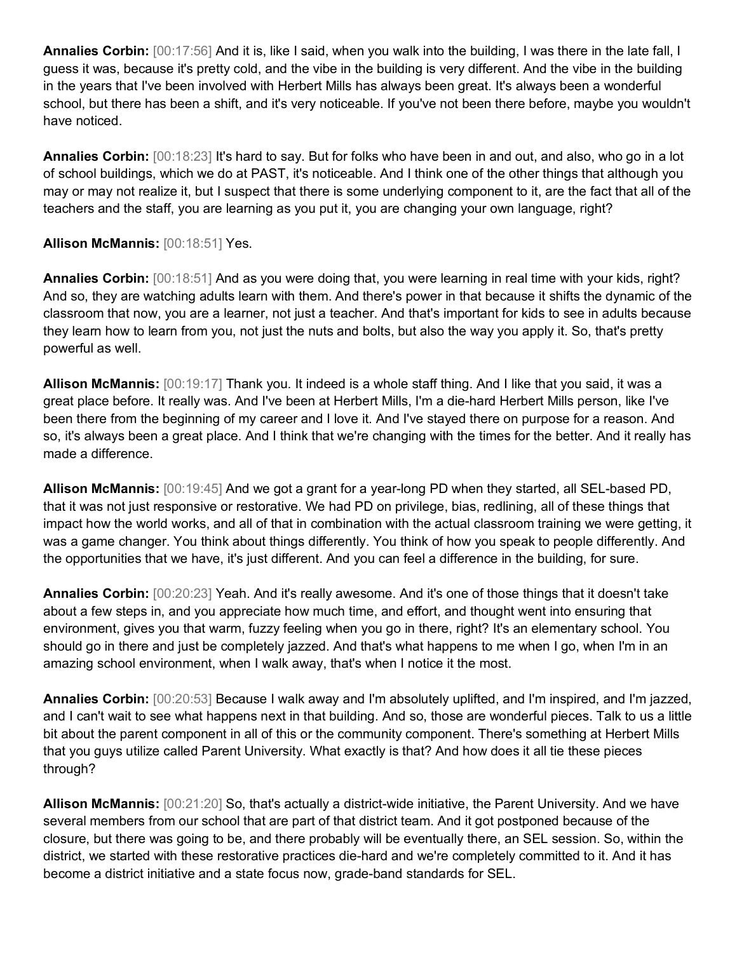**Annalies Corbin:** [00:17:56] And it is, like I said, when you walk into the building, I was there in the late fall, I guess it was, because it's pretty cold, and the vibe in the building is very different. And the vibe in the building in the years that I've been involved with Herbert Mills has always been great. It's always been a wonderful school, but there has been a shift, and it's very noticeable. If you've not been there before, maybe you wouldn't have noticed.

**Annalies Corbin:** [00:18:23] It's hard to say. But for folks who have been in and out, and also, who go in a lot of school buildings, which we do at PAST, it's noticeable. And I think one of the other things that although you may or may not realize it, but I suspect that there is some underlying component to it, are the fact that all of the teachers and the staff, you are learning as you put it, you are changing your own language, right?

## **Allison McMannis:** [00:18:51] Yes.

**Annalies Corbin:** [00:18:51] And as you were doing that, you were learning in real time with your kids, right? And so, they are watching adults learn with them. And there's power in that because it shifts the dynamic of the classroom that now, you are a learner, not just a teacher. And that's important for kids to see in adults because they learn how to learn from you, not just the nuts and bolts, but also the way you apply it. So, that's pretty powerful as well.

**Allison McMannis:** [00:19:17] Thank you. It indeed is a whole staff thing. And I like that you said, it was a great place before. It really was. And I've been at Herbert Mills, I'm a die-hard Herbert Mills person, like I've been there from the beginning of my career and I love it. And I've stayed there on purpose for a reason. And so, it's always been a great place. And I think that we're changing with the times for the better. And it really has made a difference.

**Allison McMannis:** [00:19:45] And we got a grant for a year-long PD when they started, all SEL-based PD, that it was not just responsive or restorative. We had PD on privilege, bias, redlining, all of these things that impact how the world works, and all of that in combination with the actual classroom training we were getting, it was a game changer. You think about things differently. You think of how you speak to people differently. And the opportunities that we have, it's just different. And you can feel a difference in the building, for sure.

**Annalies Corbin:** [00:20:23] Yeah. And it's really awesome. And it's one of those things that it doesn't take about a few steps in, and you appreciate how much time, and effort, and thought went into ensuring that environment, gives you that warm, fuzzy feeling when you go in there, right? It's an elementary school. You should go in there and just be completely jazzed. And that's what happens to me when I go, when I'm in an amazing school environment, when I walk away, that's when I notice it the most.

**Annalies Corbin:** [00:20:53] Because I walk away and I'm absolutely uplifted, and I'm inspired, and I'm jazzed, and I can't wait to see what happens next in that building. And so, those are wonderful pieces. Talk to us a little bit about the parent component in all of this or the community component. There's something at Herbert Mills that you guys utilize called Parent University. What exactly is that? And how does it all tie these pieces through?

**Allison McMannis:** [00:21:20] So, that's actually a district-wide initiative, the Parent University. And we have several members from our school that are part of that district team. And it got postponed because of the closure, but there was going to be, and there probably will be eventually there, an SEL session. So, within the district, we started with these restorative practices die-hard and we're completely committed to it. And it has become a district initiative and a state focus now, grade-band standards for SEL.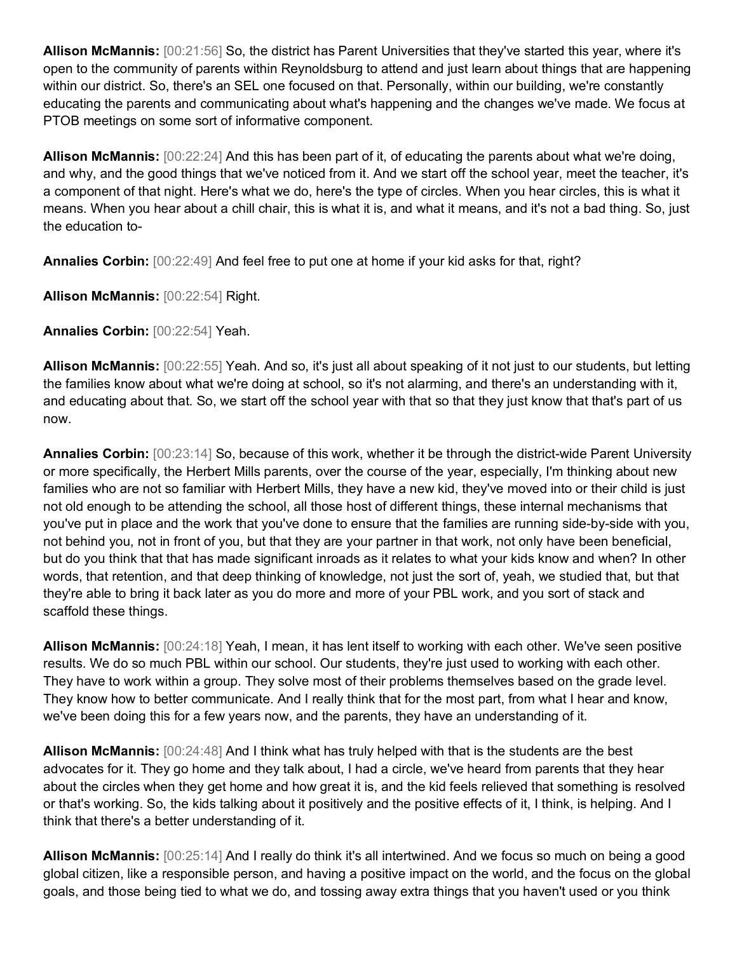**Allison McMannis:** [00:21:56] So, the district has Parent Universities that they've started this year, where it's open to the community of parents within Reynoldsburg to attend and just learn about things that are happening within our district. So, there's an SEL one focused on that. Personally, within our building, we're constantly educating the parents and communicating about what's happening and the changes we've made. We focus at PTOB meetings on some sort of informative component.

**Allison McMannis:** [00:22:24] And this has been part of it, of educating the parents about what we're doing, and why, and the good things that we've noticed from it. And we start off the school year, meet the teacher, it's a component of that night. Here's what we do, here's the type of circles. When you hear circles, this is what it means. When you hear about a chill chair, this is what it is, and what it means, and it's not a bad thing. So, just the education to-

**Annalies Corbin:** [00:22:49] And feel free to put one at home if your kid asks for that, right?

**Allison McMannis:** [00:22:54] Right.

**Annalies Corbin:** [00:22:54] Yeah.

**Allison McMannis:** [00:22:55] Yeah. And so, it's just all about speaking of it not just to our students, but letting the families know about what we're doing at school, so it's not alarming, and there's an understanding with it, and educating about that. So, we start off the school year with that so that they just know that that's part of us now.

**Annalies Corbin:** [00:23:14] So, because of this work, whether it be through the district-wide Parent University or more specifically, the Herbert Mills parents, over the course of the year, especially, I'm thinking about new families who are not so familiar with Herbert Mills, they have a new kid, they've moved into or their child is just not old enough to be attending the school, all those host of different things, these internal mechanisms that you've put in place and the work that you've done to ensure that the families are running side-by-side with you, not behind you, not in front of you, but that they are your partner in that work, not only have been beneficial, but do you think that that has made significant inroads as it relates to what your kids know and when? In other words, that retention, and that deep thinking of knowledge, not just the sort of, yeah, we studied that, but that they're able to bring it back later as you do more and more of your PBL work, and you sort of stack and scaffold these things.

**Allison McMannis:** [00:24:18] Yeah, I mean, it has lent itself to working with each other. We've seen positive results. We do so much PBL within our school. Our students, they're just used to working with each other. They have to work within a group. They solve most of their problems themselves based on the grade level. They know how to better communicate. And I really think that for the most part, from what I hear and know, we've been doing this for a few years now, and the parents, they have an understanding of it.

**Allison McMannis:** [00:24:48] And I think what has truly helped with that is the students are the best advocates for it. They go home and they talk about, I had a circle, we've heard from parents that they hear about the circles when they get home and how great it is, and the kid feels relieved that something is resolved or that's working. So, the kids talking about it positively and the positive effects of it, I think, is helping. And I think that there's a better understanding of it.

**Allison McMannis:** [00:25:14] And I really do think it's all intertwined. And we focus so much on being a good global citizen, like a responsible person, and having a positive impact on the world, and the focus on the global goals, and those being tied to what we do, and tossing away extra things that you haven't used or you think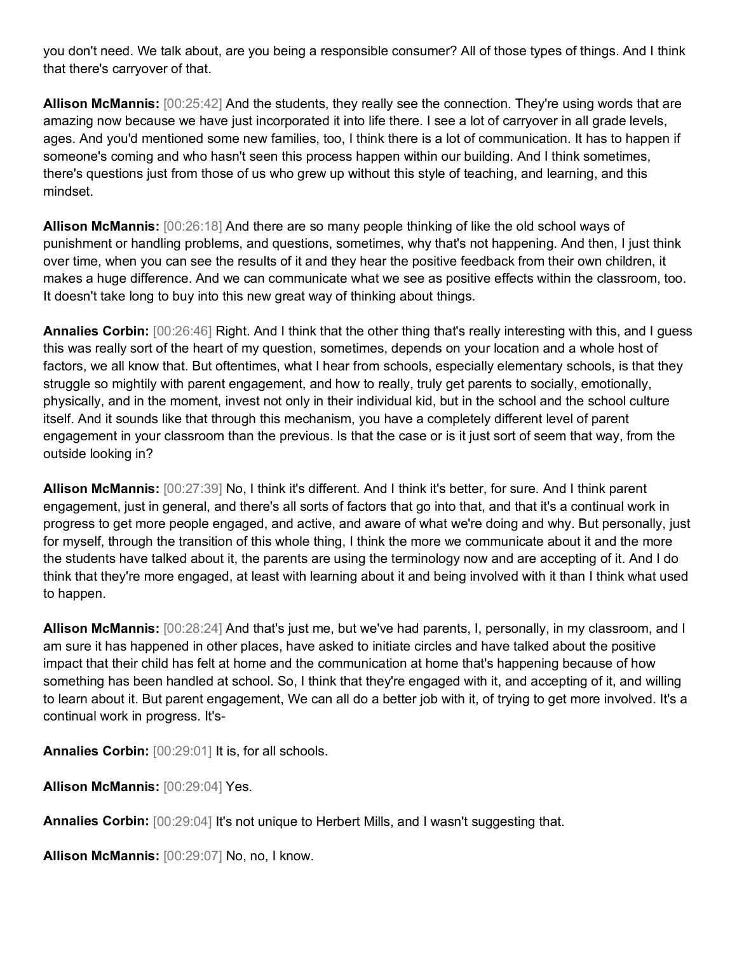you don't need. We talk about, are you being a responsible consumer? All of those types of things. And I think that there's carryover of that.

**Allison McMannis:** [00:25:42] And the students, they really see the connection. They're using words that are amazing now because we have just incorporated it into life there. I see a lot of carryover in all grade levels, ages. And you'd mentioned some new families, too, I think there is a lot of communication. It has to happen if someone's coming and who hasn't seen this process happen within our building. And I think sometimes, there's questions just from those of us who grew up without this style of teaching, and learning, and this mindset.

**Allison McMannis:** [00:26:18] And there are so many people thinking of like the old school ways of punishment or handling problems, and questions, sometimes, why that's not happening. And then, I just think over time, when you can see the results of it and they hear the positive feedback from their own children, it makes a huge difference. And we can communicate what we see as positive effects within the classroom, too. It doesn't take long to buy into this new great way of thinking about things.

**Annalies Corbin:** [00:26:46] Right. And I think that the other thing that's really interesting with this, and I guess this was really sort of the heart of my question, sometimes, depends on your location and a whole host of factors, we all know that. But oftentimes, what I hear from schools, especially elementary schools, is that they struggle so mightily with parent engagement, and how to really, truly get parents to socially, emotionally, physically, and in the moment, invest not only in their individual kid, but in the school and the school culture itself. And it sounds like that through this mechanism, you have a completely different level of parent engagement in your classroom than the previous. Is that the case or is it just sort of seem that way, from the outside looking in?

**Allison McMannis:** [00:27:39] No, I think it's different. And I think it's better, for sure. And I think parent engagement, just in general, and there's all sorts of factors that go into that, and that it's a continual work in progress to get more people engaged, and active, and aware of what we're doing and why. But personally, just for myself, through the transition of this whole thing, I think the more we communicate about it and the more the students have talked about it, the parents are using the terminology now and are accepting of it. And I do think that they're more engaged, at least with learning about it and being involved with it than I think what used to happen.

**Allison McMannis:** [00:28:24] And that's just me, but we've had parents, I, personally, in my classroom, and I am sure it has happened in other places, have asked to initiate circles and have talked about the positive impact that their child has felt at home and the communication at home that's happening because of how something has been handled at school. So, I think that they're engaged with it, and accepting of it, and willing to learn about it. But parent engagement, We can all do a better job with it, of trying to get more involved. It's a continual work in progress. It's-

**Annalies Corbin:** [00:29:01] It is, for all schools.

**Allison McMannis:** [00:29:04] Yes.

**Annalies Corbin:** [00:29:04] It's not unique to Herbert Mills, and I wasn't suggesting that.

**Allison McMannis:** [00:29:07] No, no, I know.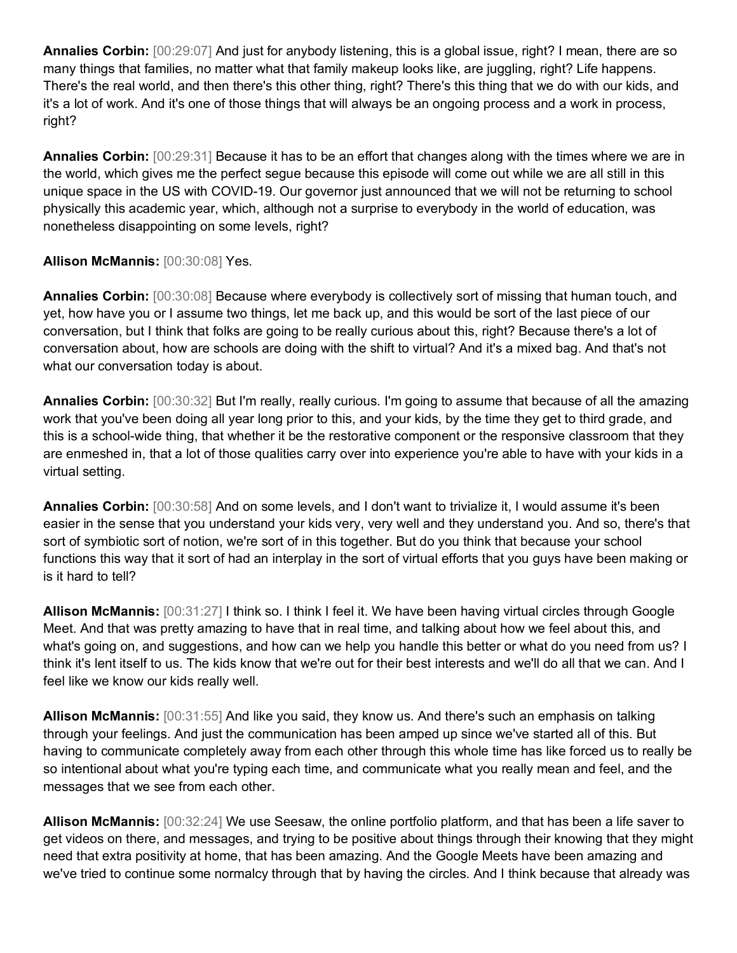**Annalies Corbin:** [00:29:07] And just for anybody listening, this is a global issue, right? I mean, there are so many things that families, no matter what that family makeup looks like, are juggling, right? Life happens. There's the real world, and then there's this other thing, right? There's this thing that we do with our kids, and it's a lot of work. And it's one of those things that will always be an ongoing process and a work in process, right?

**Annalies Corbin:** [00:29:31] Because it has to be an effort that changes along with the times where we are in the world, which gives me the perfect segue because this episode will come out while we are all still in this unique space in the US with COVID-19. Our governor just announced that we will not be returning to school physically this academic year, which, although not a surprise to everybody in the world of education, was nonetheless disappointing on some levels, right?

## **Allison McMannis:** [00:30:08] Yes.

**Annalies Corbin:** [00:30:08] Because where everybody is collectively sort of missing that human touch, and yet, how have you or I assume two things, let me back up, and this would be sort of the last piece of our conversation, but I think that folks are going to be really curious about this, right? Because there's a lot of conversation about, how are schools are doing with the shift to virtual? And it's a mixed bag. And that's not what our conversation today is about.

**Annalies Corbin:** [00:30:32] But I'm really, really curious. I'm going to assume that because of all the amazing work that you've been doing all year long prior to this, and your kids, by the time they get to third grade, and this is a school-wide thing, that whether it be the restorative component or the responsive classroom that they are enmeshed in, that a lot of those qualities carry over into experience you're able to have with your kids in a virtual setting.

**Annalies Corbin:** [00:30:58] And on some levels, and I don't want to trivialize it, I would assume it's been easier in the sense that you understand your kids very, very well and they understand you. And so, there's that sort of symbiotic sort of notion, we're sort of in this together. But do you think that because your school functions this way that it sort of had an interplay in the sort of virtual efforts that you guys have been making or is it hard to tell?

**Allison McMannis:** [00:31:27] I think so. I think I feel it. We have been having virtual circles through Google Meet. And that was pretty amazing to have that in real time, and talking about how we feel about this, and what's going on, and suggestions, and how can we help you handle this better or what do you need from us? I think it's lent itself to us. The kids know that we're out for their best interests and we'll do all that we can. And I feel like we know our kids really well.

**Allison McMannis:** [00:31:55] And like you said, they know us. And there's such an emphasis on talking through your feelings. And just the communication has been amped up since we've started all of this. But having to communicate completely away from each other through this whole time has like forced us to really be so intentional about what you're typing each time, and communicate what you really mean and feel, and the messages that we see from each other.

**Allison McMannis:** [00:32:24] We use Seesaw, the online portfolio platform, and that has been a life saver to get videos on there, and messages, and trying to be positive about things through their knowing that they might need that extra positivity at home, that has been amazing. And the Google Meets have been amazing and we've tried to continue some normalcy through that by having the circles. And I think because that already was